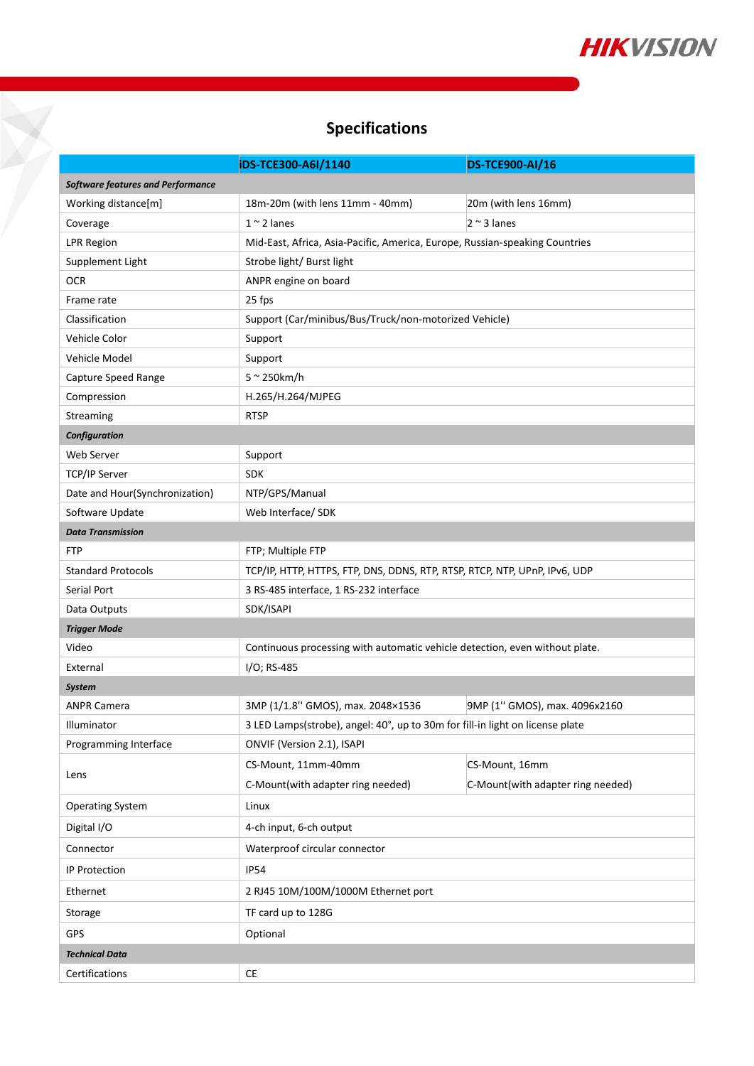

## **Specifications**

Y

|                                          | iDS-TCE300-A6I/1140                                                           | DS-TCE900-AI/16                   |
|------------------------------------------|-------------------------------------------------------------------------------|-----------------------------------|
| <b>Software features and Performance</b> |                                                                               |                                   |
| Working distance[m]                      | 18m-20m (with lens 11mm - 40mm)                                               | 20m (with lens 16mm)              |
| Coverage                                 | $1 \sim 2$ lanes                                                              | $2 \sim 3$ lanes                  |
| <b>LPR Region</b>                        | Mid-East, Africa, Asia-Pacific, America, Europe, Russian-speaking Countries   |                                   |
| Supplement Light                         | Strobe light/ Burst light                                                     |                                   |
| <b>OCR</b>                               | ANPR engine on board                                                          |                                   |
| Frame rate                               | 25 fps                                                                        |                                   |
| Classification                           | Support (Car/minibus/Bus/Truck/non-motorized Vehicle)                         |                                   |
| Vehicle Color                            | Support                                                                       |                                   |
| Vehicle Model                            | Support                                                                       |                                   |
| Capture Speed Range                      | $5 \sim 250$ km/h                                                             |                                   |
| Compression                              | H.265/H.264/MJPEG                                                             |                                   |
| Streaming                                | <b>RTSP</b>                                                                   |                                   |
| Configuration                            |                                                                               |                                   |
| Web Server                               | Support                                                                       |                                   |
| TCP/IP Server                            | <b>SDK</b>                                                                    |                                   |
| Date and Hour(Synchronization)           | NTP/GPS/Manual                                                                |                                   |
| Software Update                          | Web Interface/ SDK                                                            |                                   |
| <b>Data Transmission</b>                 |                                                                               |                                   |
| <b>FTP</b>                               | FTP; Multiple FTP                                                             |                                   |
| <b>Standard Protocols</b>                | TCP/IP, HTTP, HTTPS, FTP, DNS, DDNS, RTP, RTSP, RTCP, NTP, UPnP, IPv6, UDP    |                                   |
| Serial Port                              | 3 RS-485 interface, 1 RS-232 interface                                        |                                   |
| Data Outputs                             | SDK/ISAPI                                                                     |                                   |
| <b>Trigger Mode</b>                      |                                                                               |                                   |
| Video                                    | Continuous processing with automatic vehicle detection, even without plate.   |                                   |
| External                                 | I/O; RS-485                                                                   |                                   |
| <b>System</b>                            |                                                                               |                                   |
| <b>ANPR Camera</b>                       | 3MP (1/1.8" GMOS), max. 2048×1536                                             | 9MP (1" GMOS), max. 4096x2160     |
| Illuminator                              | 3 LED Lamps(strobe), angel: 40°, up to 30m for fill-in light on license plate |                                   |
| Programming Interface                    | ONVIF (Version 2.1), ISAPI                                                    |                                   |
| Lens                                     | CS-Mount, 11mm-40mm                                                           | CS-Mount, 16mm                    |
|                                          | C-Mount(with adapter ring needed)                                             | C-Mount(with adapter ring needed) |
| <b>Operating System</b>                  | Linux                                                                         |                                   |
| Digital I/O                              | 4-ch input, 6-ch output                                                       |                                   |
| Connector                                | Waterproof circular connector                                                 |                                   |
| IP Protection                            | <b>IP54</b>                                                                   |                                   |
| Ethernet                                 | 2 RJ45 10M/100M/1000M Ethernet port                                           |                                   |
| Storage                                  | TF card up to 128G                                                            |                                   |
| GPS                                      | Optional                                                                      |                                   |
| <b>Technical Data</b>                    |                                                                               |                                   |
| Certifications                           | $\mathsf{CE}$                                                                 |                                   |